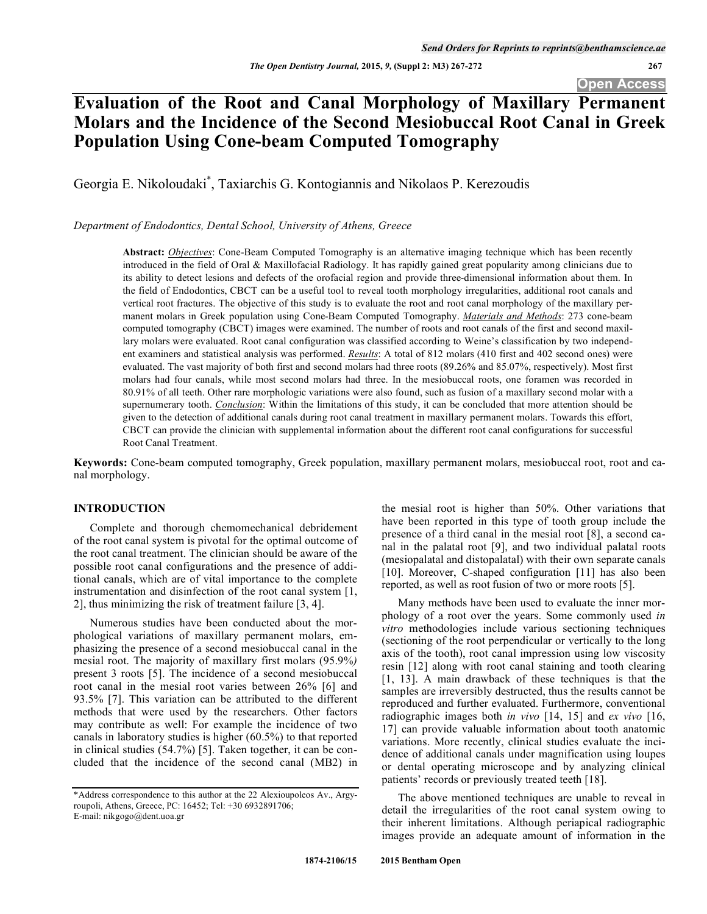# **Evaluation of the Root and Canal Morphology of Maxillary Permanent Molars and the Incidence of the Second Mesiobuccal Root Canal in Greek Population Using Cone-beam Computed Tomography**

Georgia E. Nikoloudaki\* , Taxiarchis G. Kontogiannis and Nikolaos P. Kerezoudis

*Department of Endodontics, Dental School, University of Athens, Greece* 

**Abstract:** *Objectives*: Cone-Beam Computed Tomography is an alternative imaging technique which has been recently introduced in the field of Oral & Maxillofacial Radiology. It has rapidly gained great popularity among clinicians due to its ability to detect lesions and defects of the orofacial region and provide three-dimensional information about them. In the field of Endodontics, CBCT can be a useful tool to reveal tooth morphology irregularities, additional root canals and vertical root fractures. The objective of this study is to evaluate the root and root canal morphology of the maxillary permanent molars in Greek population using Cone-Beam Computed Tomography. *Materials and Methods*: 273 cone-beam computed tomography (CBCT) images were examined. The number of roots and root canals of the first and second maxillary molars were evaluated. Root canal configuration was classified according to Weine's classification by two independent examiners and statistical analysis was performed. *Results*: A total of 812 molars (410 first and 402 second ones) were evaluated. The vast majority of both first and second molars had three roots (89.26% and 85.07%, respectively). Most first molars had four canals, while most second molars had three. In the mesiobuccal roots, one foramen was recorded in 80.91% of all teeth. Other rare morphologic variations were also found, such as fusion of a maxillary second molar with a supernumerary tooth. *Conclusion*: Within the limitations of this study, it can be concluded that more attention should be given to the detection of additional canals during root canal treatment in maxillary permanent molars. Towards this effort, CBCT can provide the clinician with supplemental information about the different root canal configurations for successful Root Canal Treatment.

**Keywords:** Cone-beam computed tomography, Greek population, maxillary permanent molars, mesiobuccal root, root and canal morphology.

# **INTRODUCTION**

Complete and thorough chemomechanical debridement of the root canal system is pivotal for the optimal outcome of the root canal treatment. The clinician should be aware of the possible root canal configurations and the presence of additional canals, which are of vital importance to the complete instrumentation and disinfection of the root canal system [1, 2], thus minimizing the risk of treatment failure [3, 4].

Numerous studies have been conducted about the morphological variations of maxillary permanent molars, emphasizing the presence of a second mesiobuccal canal in the mesial root. The majority of maxillary first molars (95.9%*)*  present 3 roots [5]. The incidence of a second mesiobuccal root canal in the mesial root varies between 26% [6] and 93.5% [7]. This variation can be attributed to the different methods that were used by the researchers. Other factors may contribute as well: For example the incidence of two canals in laboratory studies is higher (60.5%) to that reported in clinical studies (54.7%) [5]. Taken together, it can be concluded that the incidence of the second canal (MB2) in

the mesial root is higher than 50%. Other variations that have been reported in this type of tooth group include the presence of a third canal in the mesial root [8], a second canal in the palatal root [9], and two individual palatal roots (mesiopalatal and distopalatal) with their own separate canals [10]. Moreover, C-shaped configuration [11] has also been reported, as well as root fusion of two or more roots [5].

Many methods have been used to evaluate the inner morphology of a root over the years. Some commonly used *in vitro* methodologies include various sectioning techniques (sectioning of the root perpendicular or vertically to the long axis of the tooth), root canal impression using low viscosity resin [12] along with root canal staining and tooth clearing [1, 13]. A main drawback of these techniques is that the samples are irreversibly destructed, thus the results cannot be reproduced and further evaluated. Furthermore, conventional radiographic images both *in vivo* [14, 15] and *ex vivo* [16, 17] can provide valuable information about tooth anatomic variations. More recently, clinical studies evaluate the incidence of additional canals under magnification using loupes or dental operating microscope and by analyzing clinical patients' records or previously treated teeth [18].

The above mentioned techniques are unable to reveal in detail the irregularities of the root canal system owing to their inherent limitations. Although periapical radiographic images provide an adequate amount of information in the

<sup>\*</sup>Address correspondence to this author at the 22 Alexioupoleos Av., Argyroupoli, Athens, Greece, PC: 16452; Tel: +30 6932891706; E-mail: nikgogo@dent.uoa.gr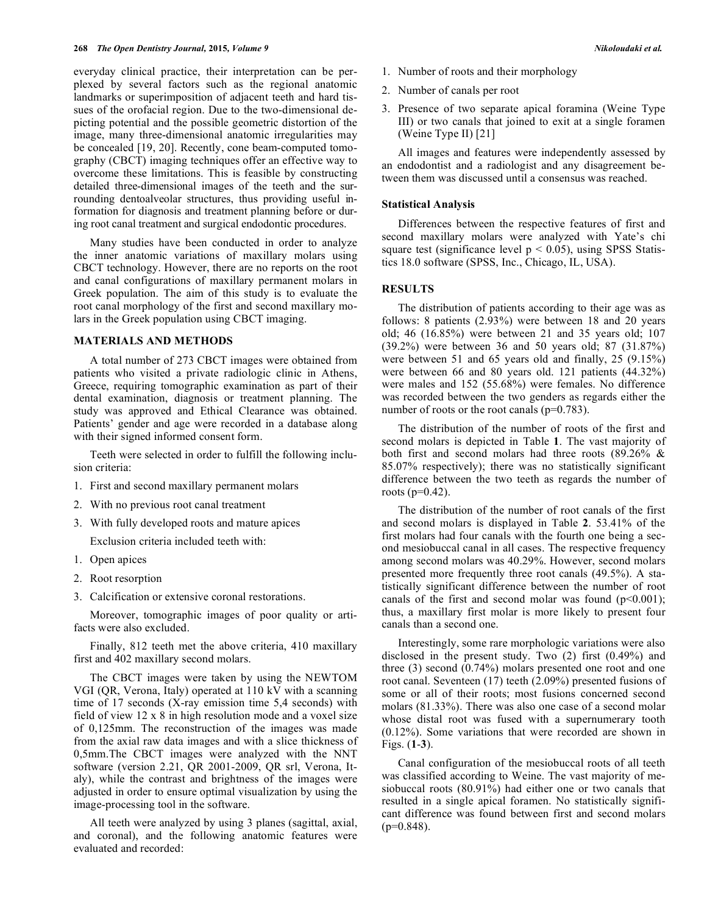everyday clinical practice, their interpretation can be perplexed by several factors such as the regional anatomic landmarks or superimposition of adjacent teeth and hard tissues of the orofacial region. Due to the two-dimensional depicting potential and the possible geometric distortion of the image, many three-dimensional anatomic irregularities may be concealed [19, 20]. Recently, cone beam-computed tomography (CBCT) imaging techniques offer an effective way to overcome these limitations. This is feasible by constructing detailed three-dimensional images of the teeth and the surrounding dentoalveolar structures, thus providing useful information for diagnosis and treatment planning before or during root canal treatment and surgical endodontic procedures.

Many studies have been conducted in order to analyze the inner anatomic variations of maxillary molars using CBCT technology. However, there are no reports on the root and canal configurations of maxillary permanent molars in Greek population. The aim of this study is to evaluate the root canal morphology of the first and second maxillary molars in the Greek population using CBCT imaging.

#### **MATERIALS AND METHODS**

A total number of 273 CBCT images were obtained from patients who visited a private radiologic clinic in Athens, Greece, requiring tomographic examination as part of their dental examination, diagnosis or treatment planning. The study was approved and Ethical Clearance was obtained. Patients' gender and age were recorded in a database along with their signed informed consent form.

Teeth were selected in order to fulfill the following inclusion criteria:

- 1. First and second maxillary permanent molars
- 2. With no previous root canal treatment
- 3. With fully developed roots and mature apices

Exclusion criteria included teeth with:

- 1. Open apices
- 2. Root resorption
- 3. Calcification or extensive coronal restorations.

Moreover, tomographic images of poor quality or artifacts were also excluded.

Finally, 812 teeth met the above criteria, 410 maxillary first and 402 maxillary second molars.

The CBCT images were taken by using the NEWTOM VGI (QR, Verona, Italy) operated at 110 kV with a scanning time of 17 seconds (X-ray emission time 5,4 seconds) with field of view 12 x 8 in high resolution mode and a voxel size of 0,125mm. The reconstruction of the images was made from the axial raw data images and with a slice thickness of 0,5mm.The CBCT images were analyzed with the NNT software (version 2.21, QR 2001-2009, QR srl, Verona, Italy), while the contrast and brightness of the images were adjusted in order to ensure optimal visualization by using the image-processing tool in the software.

All teeth were analyzed by using 3 planes (sagittal, axial, and coronal), and the following anatomic features were evaluated and recorded:

- 1. Number of roots and their morphology
- 2. Number of canals per root
- 3. Presence of two separate apical foramina (Weine Type III) or two canals that joined to exit at a single foramen (Weine Type II) [21]

All images and features were independently assessed by an endodontist and a radiologist and any disagreement between them was discussed until a consensus was reached.

#### **Statistical Analysis**

Differences between the respective features of first and second maxillary molars were analyzed with Yate's chi square test (significance level  $p < 0.05$ ), using SPSS Statistics 18.0 software (SPSS, Inc., Chicago, IL, USA).

## **RESULTS**

The distribution of patients according to their age was as follows: 8 patients (2.93%) were between 18 and 20 years old; 46 (16.85%) were between 21 and 35 years old; 107 (39.2%) were between 36 and 50 years old; 87 (31.87%) were between 51 and 65 years old and finally, 25 (9.15%) were between 66 and 80 years old. 121 patients (44.32%) were males and 152 (55.68%) were females. No difference was recorded between the two genders as regards either the number of roots or the root canals (p=0.783).

The distribution of the number of roots of the first and second molars is depicted in Table **1**. The vast majority of both first and second molars had three roots (89.26% & 85.07% respectively); there was no statistically significant difference between the two teeth as regards the number of roots (p=0.42).

The distribution of the number of root canals of the first and second molars is displayed in Table **2**. 53.41% of the first molars had four canals with the fourth one being a second mesiobuccal canal in all cases. The respective frequency among second molars was 40.29%. However, second molars presented more frequently three root canals (49.5%). A statistically significant difference between the number of root canals of the first and second molar was found  $(p<0.001)$ ; thus, a maxillary first molar is more likely to present four canals than a second one.

Interestingly, some rare morphologic variations were also disclosed in the present study. Two (2) first (0.49%) and three (3) second (0.74%) molars presented one root and one root canal. Seventeen (17) teeth (2.09%) presented fusions of some or all of their roots; most fusions concerned second molars (81.33%). There was also one case of a second molar whose distal root was fused with a supernumerary tooth (0.12%). Some variations that were recorded are shown in Figs. (**1**-**3**).

Canal configuration of the mesiobuccal roots of all teeth was classified according to Weine. The vast majority of mesiobuccal roots (80.91%) had either one or two canals that resulted in a single apical foramen. No statistically significant difference was found between first and second molars  $(p=0.848)$ .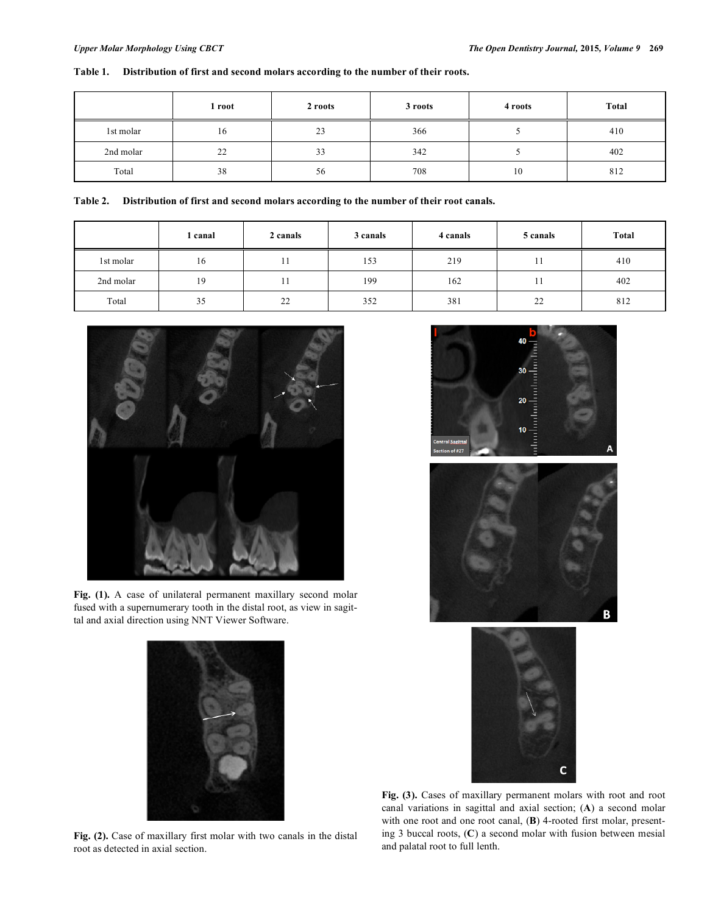# **Table 1. Distribution of first and second molars according to the number of their roots.**

|           | 1 root | 2 roots | 3 roots | 4 roots | <b>Total</b> |
|-----------|--------|---------|---------|---------|--------------|
| 1st molar | 16     | 23      | 366     |         | 410          |
| 2nd molar | 22     | 33      | 342     |         | 402          |
| Total     | 38     | 56      | 708     | 10      | 812          |

|  |  | Table 2. Distribution of first and second molars according to the number of their root canals. |  |
|--|--|------------------------------------------------------------------------------------------------|--|
|--|--|------------------------------------------------------------------------------------------------|--|

|           | l canal | 2 canals | 3 canals | 4 canals | 5 canals | <b>Total</b> |
|-----------|---------|----------|----------|----------|----------|--------------|
| 1st molar | 16      |          | 153      | 219      |          | 410          |
| 2nd molar | 19      |          | 199      | 162      |          | 402          |
| Total     | 35      | 22       | 352      | 381      | 22       | 812          |



**Fig. (1).** A case of unilateral permanent maxillary second molar fused with a supernumerary tooth in the distal root, as view in sagittal and axial direction using NNT Viewer Software.











**Fig. (3).** Cases of maxillary permanent molars with root and root canal variations in sagittal and axial section; (**A**) a second molar with one root and one root canal, (**B**) 4-rooted first molar, presenting 3 buccal roots, (**C**) a second molar with fusion between mesial and palatal root to full lenth.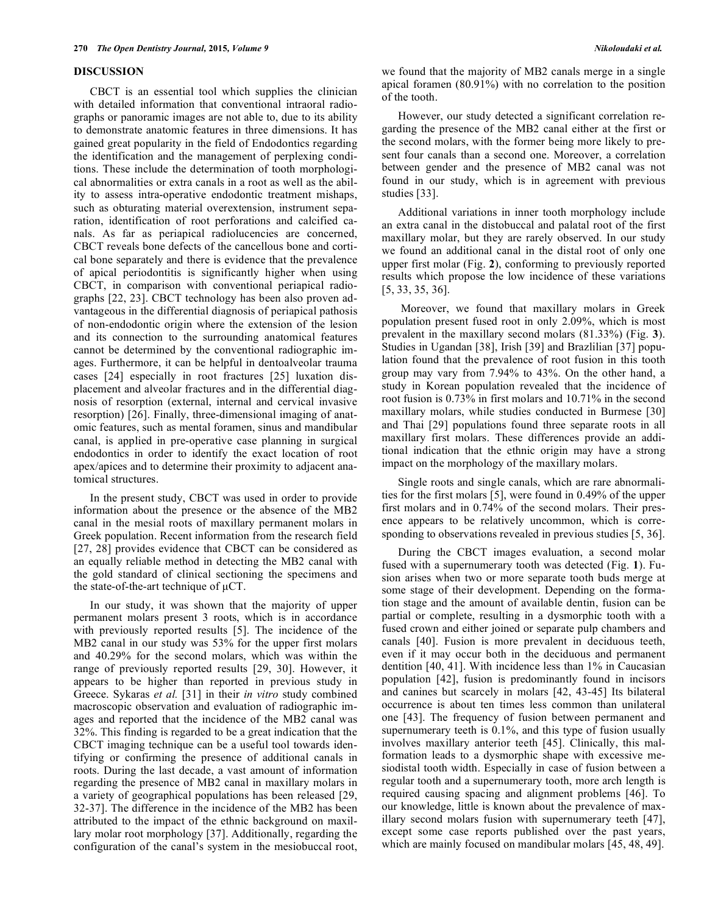#### **DISCUSSION**

CBCT is an essential tool which supplies the clinician with detailed information that conventional intraoral radiographs or panoramic images are not able to, due to its ability to demonstrate anatomic features in three dimensions. It has gained great popularity in the field of Endodontics regarding the identification and the management of perplexing conditions. These include the determination of tooth morphological abnormalities or extra canals in a root as well as the ability to assess intra-operative endodontic treatment mishaps, such as obturating material overextension, instrument separation, identification of root perforations and calcified canals. As far as periapical radiolucencies are concerned, CBCT reveals bone defects of the cancellous bone and cortical bone separately and there is evidence that the prevalence of apical periodontitis is significantly higher when using CBCT, in comparison with conventional periapical radiographs [22, 23]. CBCT technology has been also proven advantageous in the differential diagnosis of periapical pathosis of non-endodontic origin where the extension of the lesion and its connection to the surrounding anatomical features cannot be determined by the conventional radiographic images. Furthermore, it can be helpful in dentoalveolar trauma cases [24] especially in root fractures [25] luxation displacement and alveolar fractures and in the differential diagnosis of resorption (external, internal and cervical invasive resorption) [26]. Finally, three-dimensional imaging of anatomic features, such as mental foramen, sinus and mandibular canal, is applied in pre-operative case planning in surgical endodontics in order to identify the exact location of root apex/apices and to determine their proximity to adjacent anatomical structures.

In the present study, CBCT was used in order to provide information about the presence or the absence of the MB2 canal in the mesial roots of maxillary permanent molars in Greek population. Recent information from the research field [27, 28] provides evidence that CBCT can be considered as an equally reliable method in detecting the MB2 canal with the gold standard of clinical sectioning the specimens and the state-of-the-art technique of μCT.

In our study, it was shown that the majority of upper permanent molars present 3 roots, which is in accordance with previously reported results [5]. The incidence of the MB2 canal in our study was 53% for the upper first molars and 40.29% for the second molars, which was within the range of previously reported results [29, 30]. However, it appears to be higher than reported in previous study in Greece. Sykaras *et al.* [31] in their *in vitro* study combined macroscopic observation and evaluation of radiographic images and reported that the incidence of the MB2 canal was 32%. This finding is regarded to be a great indication that the CBCT imaging technique can be a useful tool towards identifying or confirming the presence of additional canals in roots. During the last decade, a vast amount of information regarding the presence of MB2 canal in maxillary molars in a variety of geographical populations has been released [29, 32-37]. The difference in the incidence of the MB2 has been attributed to the impact of the ethnic background on maxillary molar root morphology [37]. Additionally, regarding the configuration of the canal's system in the mesiobuccal root, we found that the majority of MB2 canals merge in a single apical foramen (80.91%) with no correlation to the position of the tooth.

However, our study detected a significant correlation regarding the presence of the MB2 canal either at the first or the second molars, with the former being more likely to present four canals than a second one. Moreover, a correlation between gender and the presence of MB2 canal was not found in our study, which is in agreement with previous studies [33].

Additional variations in inner tooth morphology include an extra canal in the distobuccal and palatal root of the first maxillary molar, but they are rarely observed. In our study we found an additional canal in the distal root of only one upper first molar (Fig. **2**), conforming to previously reported results which propose the low incidence of these variations [5, 33, 35, 36].

 Moreover, we found that maxillary molars in Greek population present fused root in only 2.09%, which is most prevalent in the maxillary second molars (81.33%) (Fig. **3**). Studies in Ugandan [38], Irish [39] and Brazlilian [37] population found that the prevalence of root fusion in this tooth group may vary from 7.94% to 43%. On the other hand, a study in Korean population revealed that the incidence of root fusion is 0.73% in first molars and 10.71% in the second maxillary molars, while studies conducted in Burmese [30] and Thai [29] populations found three separate roots in all maxillary first molars. These differences provide an additional indication that the ethnic origin may have a strong impact on the morphology of the maxillary molars.

Single roots and single canals, which are rare abnormalities for the first molars [5], were found in 0.49% of the upper first molars and in 0.74% of the second molars. Their presence appears to be relatively uncommon, which is corresponding to observations revealed in previous studies [5, 36].

During the CBCT images evaluation, a second molar fused with a supernumerary tooth was detected (Fig. **1**). Fusion arises when two or more separate tooth buds merge at some stage of their development. Depending on the formation stage and the amount of available dentin, fusion can be partial or complete, resulting in a dysmorphic tooth with a fused crown and either joined or separate pulp chambers and canals [40]. Fusion is more prevalent in deciduous teeth, even if it may occur both in the deciduous and permanent dentition [40, 41]. With incidence less than 1% in Caucasian population [42], fusion is predominantly found in incisors and canines but scarcely in molars [42, 43-45] Its bilateral occurrence is about ten times less common than unilateral one [43]. The frequency of fusion between permanent and supernumerary teeth is 0.1%, and this type of fusion usually involves maxillary anterior teeth [45]. Clinically, this malformation leads to a dysmorphic shape with excessive mesiodistal tooth width. Especially in case of fusion between a regular tooth and a supernumerary tooth, more arch length is required causing spacing and alignment problems [46]. To our knowledge, little is known about the prevalence of maxillary second molars fusion with supernumerary teeth [47], except some case reports published over the past years, which are mainly focused on mandibular molars [45, 48, 49].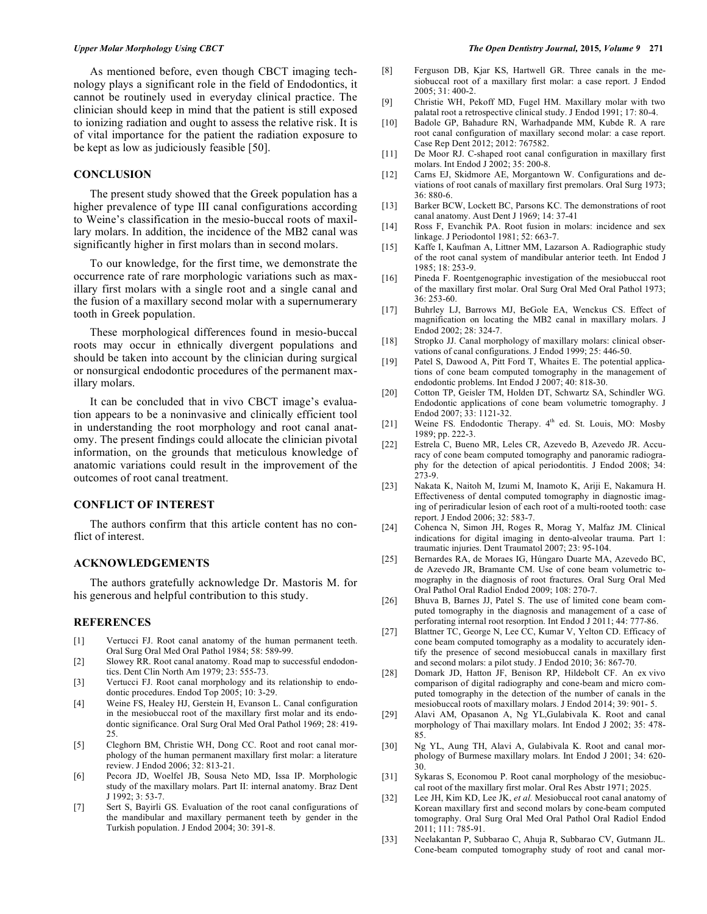As mentioned before, even though CBCT imaging technology plays a significant role in the field of Endodontics, it cannot be routinely used in everyday clinical practice. The clinician should keep in mind that the patient is still exposed to ionizing radiation and ought to assess the relative risk. It is of vital importance for the patient the radiation exposure to be kept as low as judiciously feasible [50].

### **CONCLUSION**

The present study showed that the Greek population has a higher prevalence of type III canal configurations according to Weine's classification in the mesio-buccal roots of maxillary molars. In addition, the incidence of the MB2 canal was significantly higher in first molars than in second molars.

To our knowledge, for the first time, we demonstrate the occurrence rate of rare morphologic variations such as maxillary first molars with a single root and a single canal and the fusion of a maxillary second molar with a supernumerary tooth in Greek population.

These morphological differences found in mesio-buccal roots may occur in ethnically divergent populations and should be taken into account by the clinician during surgical or nonsurgical endodontic procedures of the permanent maxillary molars.

It can be concluded that in vivo CBCT image's evaluation appears to be a noninvasive and clinically efficient tool in understanding the root morphology and root canal anatomy. The present findings could allocate the clinician pivotal information, on the grounds that meticulous knowledge of anatomic variations could result in the improvement of the outcomes of root canal treatment.

### **CONFLICT OF INTEREST**

The authors confirm that this article content has no conflict of interest.

#### **ACKNOWLEDGEMENTS**

The authors gratefully acknowledge Dr. Mastoris M. for his generous and helpful contribution to this study.

#### **REFERENCES**

- [1] Vertucci FJ. Root canal anatomy of the human permanent teeth. Oral Surg Oral Med Oral Pathol 1984; 58: 589-99.
- [2] Slowey RR. Root canal anatomy. Road map to successful endodontics. Dent Clin North Am 1979; 23: 555-73.
- [3] Vertucci FJ. Root canal morphology and its relationship to endodontic procedures. Endod Top 2005; 10: 3-29.
- [4] Weine FS, Healey HJ, Gerstein H, Evanson L. Canal configuration in the mesiobuccal root of the maxillary first molar and its endodontic significance. Oral Surg Oral Med Oral Pathol 1969; 28: 419- 25.
- [5] Cleghorn BM, Christie WH, Dong CC. Root and root canal morphology of the human permanent maxillary first molar: a literature review. J Endod 2006; 32: 813-21.
- [6] Pecora JD, Woelfel JB, Sousa Neto MD, Issa IP. Morphologic study of the maxillary molars. Part II: internal anatomy. Braz Dent J 1992; 3: 53-7.
- [7] Sert S, Bayirli GS. Evaluation of the root canal configurations of the mandibular and maxillary permanent teeth by gender in the Turkish population. J Endod 2004; 30: 391-8.
- [8] Ferguson DB, Kjar KS, Hartwell GR. Three canals in the mesiobuccal root of a maxillary first molar: a case report. J Endod 2005; 31: 400-2.
- [9] Christie WH, Pekoff MD, Fugel HM. Maxillary molar with two palatal root a retrospective clinical study. J Endod 1991; 17: 80-4.
- [10] Badole GP, Bahadure RN, Warhadpande MM, Kubde R. A rare root canal configuration of maxillary second molar: a case report. Case Rep Dent 2012; 2012: 767582.
- [11] De Moor RJ. C-shaped root canal configuration in maxillary first molars. Int Endod J 2002; 35: 200-8.
- [12] Carns EJ, Skidmore AE, Morgantown W. Configurations and deviations of root canals of maxillary first premolars. Oral Surg 1973; 36: 880-6.
- [13] Barker BCW, Lockett BC, Parsons KC. The demonstrations of root canal anatomy. Aust Dent J 1969; 14: 37-41
- [14] Ross F, Evanchik PA. Root fusion in molars: incidence and sex linkage. J Periodontol 1981; 52: 663-7.
- [15] Kaffe I, Kaufman A, Littner MM, Lazarson A. Radiographic study of the root canal system of mandibular anterior teeth. Int Endod J 1985; 18: 253-9.
- [16] Pineda F. Roentgenographic investigation of the mesiobuccal root of the maxillary first molar. Oral Surg Oral Med Oral Pathol 1973; 36: 253-60.
- [17] Buhrley LJ, Barrows MJ, BeGole EA, Wenckus CS. Effect of magnification on locating the MB2 canal in maxillary molars. J Endod 2002; 28: 324-7.
- [18] Stropko JJ. Canal morphology of maxillary molars: clinical observations of canal configurations. J Endod 1999; 25: 446-50.
- [19] Patel S, Dawood A, Pitt Ford T, Whaites E. The potential applications of cone beam computed tomography in the management of endodontic problems. Int Endod J 2007; 40: 818-30.
- [20] Cotton TP, Geisler TM, Holden DT, Schwartz SA, Schindler WG. Endodontic applications of cone beam volumetric tomography. J Endod 2007; 33: 1121-32.
- [21] Weine FS. Endodontic Therapy.  $4<sup>th</sup>$  ed. St. Louis, MO: Mosby 1989; pp. 222-3.
- [22] Estrela C, Bueno MR, Leles CR, Azevedo B, Azevedo JR. Accuracy of cone beam computed tomography and panoramic radiography for the detection of apical periodontitis. J Endod 2008; 34: 273-9.
- [23] Nakata K, Naitoh M, Izumi M, Inamoto K, Ariji E, Nakamura H. Effectiveness of dental computed tomography in diagnostic imaging of periradicular lesion of each root of a multi-rooted tooth: case report. J Endod 2006; 32: 583-7.
- [24] Cohenca N, Simon JH, Roges R, Morag Y, Malfaz JM. Clinical indications for digital imaging in dento-alveolar trauma. Part 1: traumatic injuries. Dent Traumatol 2007; 23: 95-104.
- [25] Bernardes RA, de Moraes IG, Húngaro Duarte MA, Azevedo BC, de Azevedo JR, Bramante CM. Use of cone beam volumetric tomography in the diagnosis of root fractures. Oral Surg Oral Med Oral Pathol Oral Radiol Endod 2009; 108: 270-7.
- [26] Bhuva B, Barnes JJ, Patel S. The use of limited cone beam computed tomography in the diagnosis and management of a case of perforating internal root resorption. Int Endod J 2011; 44: 777-86.
- [27] Blattner TC, George N, Lee CC, Kumar V, Yelton CD. Efficacy of cone beam computed tomography as a modality to accurately identify the presence of second mesiobuccal canals in maxillary first and second molars: a pilot study. J Endod 2010; 36: 867-70.
- [28] Domark JD, Hatton JF, Benison RP, Hildebolt CF. An ex vivo comparison of digital radiography and cone-beam and micro computed tomography in the detection of the number of canals in the mesiobuccal roots of maxillary molars. J Endod 2014; 39: 901- 5.
- [29] Alavi AM, Opasanon A, Ng YL,Gulabivala K. Root and canal morphology of Thai maxillary molars. Int Endod J 2002; 35: 478- 85.
- [30] Ng YL, Aung TH, Alavi A, Gulabivala K. Root and canal morphology of Burmese maxillary molars. Int Endod J 2001; 34: 620- 30.
- [31] Sykaras S, Economou P. Root canal morphology of the mesiobuccal root of the maxillary first molar. Oral Res Abstr 1971; 2025.
- [32] Lee JH, Kim KD, Lee JK, *et al.* Mesiobuccal root canal anatomy of Korean maxillary first and second molars by cone-beam computed tomography. Oral Surg Oral Med Oral Pathol Oral Radiol Endod 2011; 111: 785-91.
- [33] Neelakantan P, Subbarao C, Ahuja R, Subbarao CV, Gutmann JL. Cone-beam computed tomography study of root and canal mor-